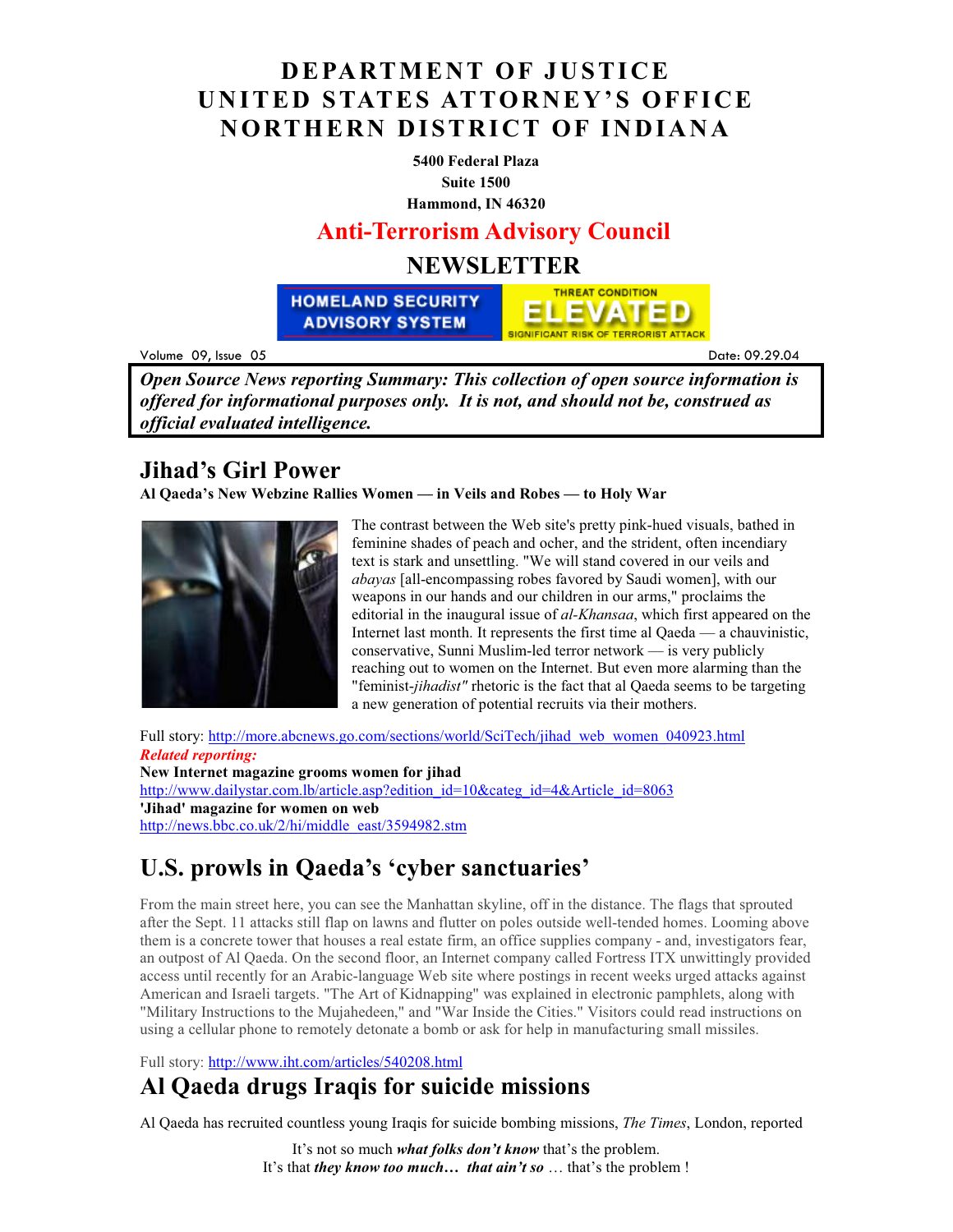#### **DEPARTMENT OF JUSTICE UNITED STATES ATTORNEY'S OFFICE NORTHERN DISTRICT OF INDIANA**

**5400 Federal Plaza Suite 1500** 

**Hammond, IN 46320**

#### **Anti-Terrorism Advisory Council**

#### **NEWSLETTER**

**HOMELAND SECURITY ADVISORY SYSTEM** 

Volume 09  $\frac{1}{2}$   $\frac{1}{2}$   $\frac{1}{2}$   $\frac{1}{2}$   $\frac{1}{2}$   $\frac{1}{2}$   $\frac{1}{2}$   $\frac{1}{2}$   $\frac{1}{2}$   $\frac{1}{2}$   $\frac{1}{2}$   $\frac{1}{2}$   $\frac{1}{2}$   $\frac{1}{2}$   $\frac{1}{2}$   $\frac{1}{2}$   $\frac{1}{2}$   $\frac{1}{2}$   $\frac{1}{2}$   $\frac{1}{2}$   $\frac{1}{2}$   $\frac{1}{2}$ 

 $.29.04$ 

*Open Source News reporting Summary: This collection of open source information is offered for informational purposes only. It is not, and should not be, construed as official evaluated intelligence.*

#### **Jihad's Girl Power**

**Al Qaeda's New Webzine Rallies Women — in Veils and Robes — to Holy War** 



The contrast between the Web site's pretty pink-hued visuals, bathed in feminine shades of peach and ocher, and the strident, often incendiary text is stark and unsettling. "We will stand covered in our veils and *abayas* [all-encompassing robes favored by Saudi women], with our weapons in our hands and our children in our arms," proclaims the editorial in the inaugural issue of *al-Khansaa*, which first appeared on the Internet last month. It represents the first time al Qaeda — a chauvinistic, conservative, Sunni Muslim-led terror network — is very publicly reaching out to women on the Internet. But even more alarming than the "feminist-*jihadist"* rhetoric is the fact that al Qaeda seems to be targeting a new generation of potential recruits via their mothers.

**THREAT CONDITION** 

ELEVATED

**SIGNIFICANT RISK OF TERRORIST ATTACK** 

Full story: http://more.abcnews.go.com/sections/world/SciTech/jihad\_web\_women\_040923.html *Related reporting:*  **New Internet magazine grooms women for jihad**  http://www.dailystar.com.lb/article.asp?edition\_id=10&categ\_id=4&Article\_id=8063 **'Jihad' magazine for women on web**  http://news.bbc.co.uk/2/hi/middle\_east/3594982.stm

# **U.S. prowls in Qaeda's 'cyber sanctuaries'**

From the main street here, you can see the Manhattan skyline, off in the distance. The flags that sprouted after the Sept. 11 attacks still flap on lawns and flutter on poles outside well-tended homes. Looming above them is a concrete tower that houses a real estate firm, an office supplies company - and, investigators fear, an outpost of Al Qaeda. On the second floor, an Internet company called Fortress ITX unwittingly provided access until recently for an Arabic-language Web site where postings in recent weeks urged attacks against American and Israeli targets. "The Art of Kidnapping" was explained in electronic pamphlets, along with "Military Instructions to the Mujahedeen," and "War Inside the Cities." Visitors could read instructions on using a cellular phone to remotely detonate a bomb or ask for help in manufacturing small missiles.

Full story: http://www.iht.com/articles/540208.html

# **Al Qaeda drugs Iraqis for suicide missions**

Al Qaeda has recruited countless young Iraqis for suicide bombing missions, *The Times*, London, reported

It's not so much *what folks don't know* that's the problem. It's that *they know too much… that ain't so* … that's the problem !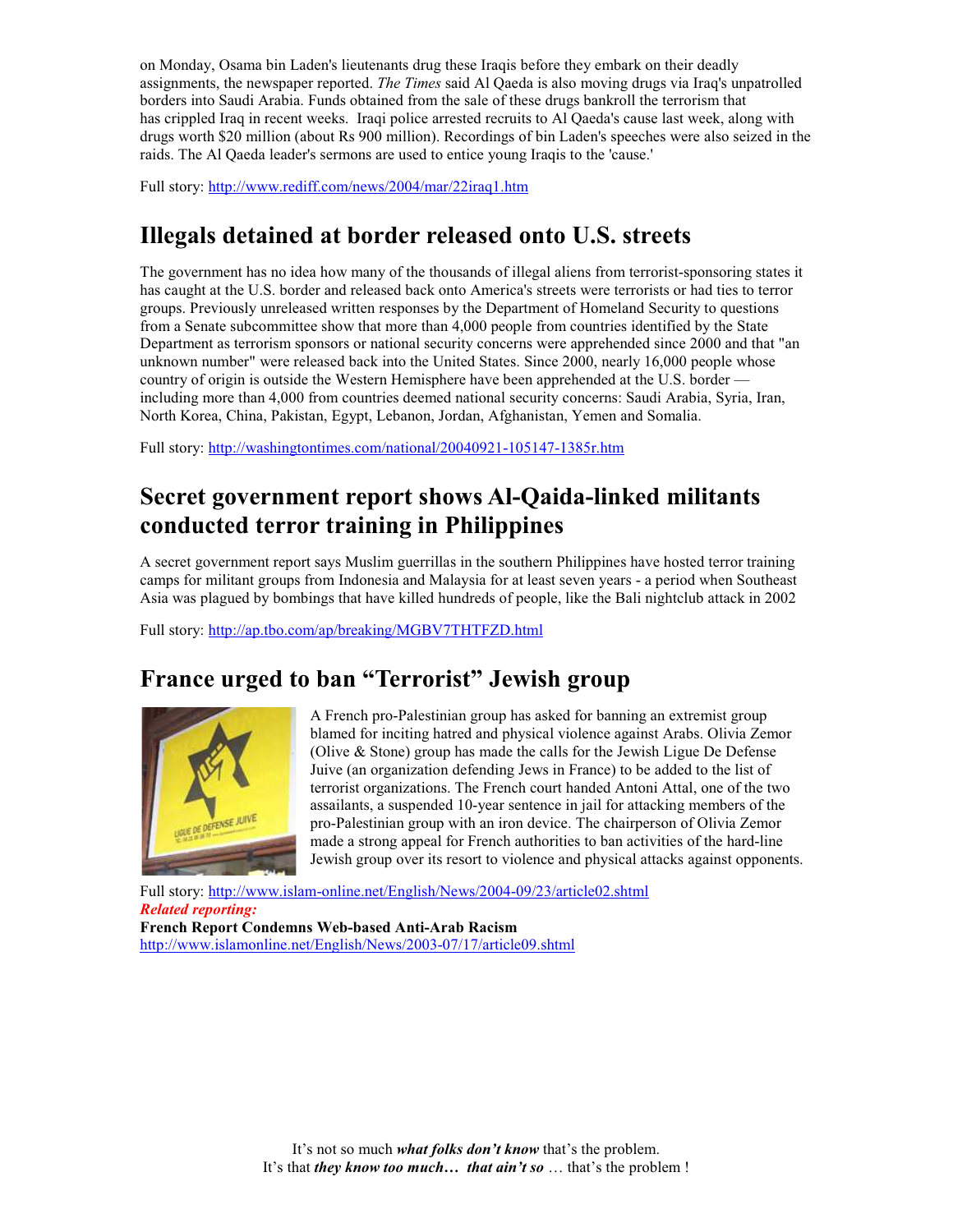on Monday, Osama bin Laden's lieutenants drug these Iraqis before they embark on their deadly assignments, the newspaper reported. *The Times* said Al Qaeda is also moving drugs via Iraq's unpatrolled borders into Saudi Arabia. Funds obtained from the sale of these drugs bankroll the terrorism that has crippled Iraq in recent weeks. Iraqi police arrested recruits to Al Qaeda's cause last week, along with drugs worth \$20 million (about Rs 900 million). Recordings of bin Laden's speeches were also seized in the raids. The Al Qaeda leader's sermons are used to entice young Iraqis to the 'cause.'

Full story: http://www.rediff.com/news/2004/mar/22iraq1.htm

### **Illegals detained at border released onto U.S. streets**

The government has no idea how many of the thousands of illegal aliens from terrorist-sponsoring states it has caught at the U.S. border and released back onto America's streets were terrorists or had ties to terror groups. Previously unreleased written responses by the Department of Homeland Security to questions from a Senate subcommittee show that more than 4,000 people from countries identified by the State Department as terrorism sponsors or national security concerns were apprehended since 2000 and that "an unknown number" were released back into the United States. Since 2000, nearly 16,000 people whose country of origin is outside the Western Hemisphere have been apprehended at the U.S. border including more than 4,000 from countries deemed national security concerns: Saudi Arabia, Syria, Iran, North Korea, China, Pakistan, Egypt, Lebanon, Jordan, Afghanistan, Yemen and Somalia.

Full story: http://washingtontimes.com/national/20040921-105147-1385r.htm

## **Secret government report shows Al-Qaida-linked militants conducted terror training in Philippines**

A secret government report says Muslim guerrillas in the southern Philippines have hosted terror training camps for militant groups from Indonesia and Malaysia for at least seven years - a period when Southeast Asia was plagued by bombings that have killed hundreds of people, like the Bali nightclub attack in 2002

Full story: http://ap.tbo.com/ap/breaking/MGBV7THTFZD.html

### **France urged to ban "Terrorist" Jewish group**



A French pro-Palestinian group has asked for banning an extremist group blamed for inciting hatred and physical violence against Arabs. Olivia Zemor (Olive & Stone) group has made the calls for the Jewish Ligue De Defense Juive (an organization defending Jews in France) to be added to the list of terrorist organizations. The French court handed Antoni Attal, one of the two assailants, a suspended 10-year sentence in jail for attacking members of the pro-Palestinian group with an iron device. The chairperson of Olivia Zemor made a strong appeal for French authorities to ban activities of the hard-line Jewish group over its resort to violence and physical attacks against opponents.

Full story: http://www.islam-online.net/English/News/2004-09/23/article02.shtml *Related reporting:*  **French Report Condemns Web-based Anti-Arab Racism**  http://www.islamonline.net/English/News/2003-07/17/article09.shtml